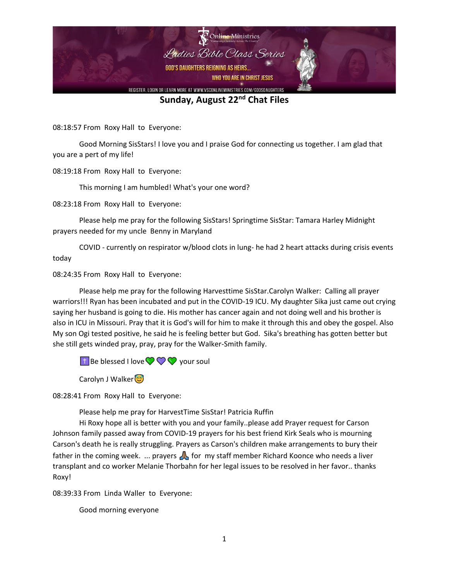

08:18:57 From Roxy Hall to Everyone:

Good Morning SisStars! I love you and I praise God for connecting us together. I am glad that you are a pert of my life!

08:19:18 From Roxy Hall to Everyone:

This morning I am humbled! What's your one word?

08:23:18 From Roxy Hall to Everyone:

Please help me pray for the following SisStars! Springtime SisStar: Tamara Harley Midnight prayers needed for my uncle Benny in Maryland

COVID - currently on respirator w/blood clots in lung- he had 2 heart attacks during crisis events today

08:24:35 From Roxy Hall to Everyone:

Please help me pray for the following Harvesttime SisStar.Carolyn Walker: Calling all prayer warriors!!! Ryan has been incubated and put in the COVID-19 ICU. My daughter Sika just came out crying saying her husband is going to die. His mother has cancer again and not doing well and his brother is also in ICU in Missouri. Pray that it is God's will for him to make it through this and obey the gospel. Also My son Ogi tested positive, he said he is feeling better but God. Sika's breathing has gotten better but she still gets winded pray, pray, pray for the Walker-Smith family.

 $\Box$  Be blessed I love  $\bigcirc \bigcirc \bigcirc \bigcirc$  your soul

Carolyn J Walker

08:28:41 From Roxy Hall to Everyone:

Please help me pray for HarvestTime SisStar! Patricia Ruffin

Hi Roxy hope all is better with you and your family..please add Prayer request for Carson Johnson family passed away from COVID-19 prayers for his best friend Kirk Seals who is mourning Carson's death he is really struggling. Prayers as Carson's children make arrangements to bury their father in the coming week. ... prayers  $\Lambda$  for my staff member Richard Koonce who needs a liver transplant and co worker Melanie Thorbahn for her legal issues to be resolved in her favor.. thanks Roxy!

08:39:33 From Linda Waller to Everyone:

Good morning everyone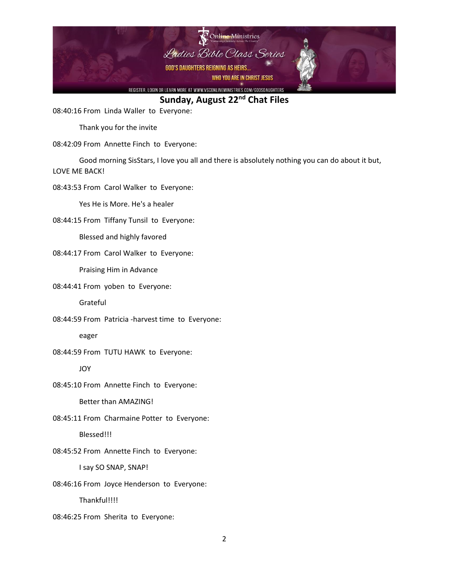

08:40:16 From Linda Waller to Everyone:

Thank you for the invite

## 08:42:09 From Annette Finch to Everyone:

Good morning SisStars, I love you all and there is absolutely nothing you can do about it but, LOVE ME BACK!

08:43:53 From Carol Walker to Everyone:

Yes He is More. He's a healer

08:44:15 From Tiffany Tunsil to Everyone:

Blessed and highly favored

08:44:17 From Carol Walker to Everyone:

Praising Him in Advance

08:44:41 From yoben to Everyone:

Grateful

08:44:59 From Patricia -harvest time to Everyone:

eager

08:44:59 From TUTU HAWK to Everyone:

JOY

08:45:10 From Annette Finch to Everyone:

Better than AMAZING!

08:45:11 From Charmaine Potter to Everyone:

Blessed!!!

08:45:52 From Annette Finch to Everyone:

I say SO SNAP, SNAP!

08:46:16 From Joyce Henderson to Everyone:

Thankful!!!!

08:46:25 From Sherita to Everyone: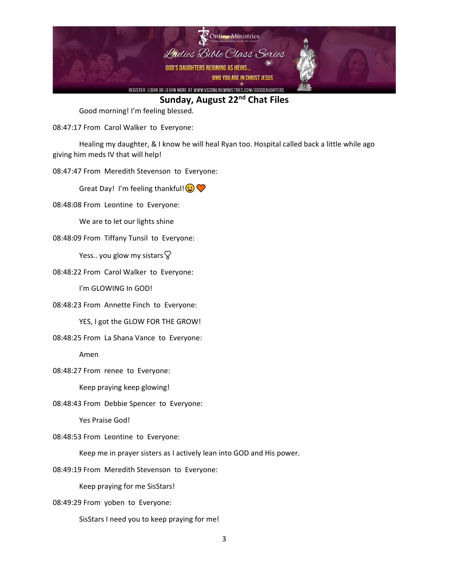

Good morning! I'm feeling blessed.

08:47:17 From Carol Walker to Everyone:

Healing my daughter, & I know he will heal Ryan too. Hospital called back a little while ago giving him meds IV that will help!

08:47:47 From Meredith Stevenson to Everyone:

Great Day! I'm feeling thankful! $\bigodot \bigodot$ 

08:48:08 From Leontine to Everyone:

We are to let our lights shine

08:48:09 From Tiffany Tunsil to Everyone:

Yess.. you glow my sistars  $\heartsuit$ 

08:48:22 From Carol Walker to Everyone:

I'm GLOWING In GOD!

08:48:23 From Annette Finch to Everyone:

YES, I got the GLOW FOR THE GROW!

08:48:25 From La Shana Vance to Everyone:

Amen

08:48:27 From renee to Everyone:

Keep praying keep glowing!

08:48:43 From Debbie Spencer to Everyone:

Yes Praise God!

08:48:53 From Leontine to Everyone:

Keep me in prayer sisters as I actively lean into GOD and His power.

08:49:19 From Meredith Stevenson to Everyone:

Keep praying for me SisStars!

08:49:29 From yoben to Everyone:

SisStars I need you to keep praying for me!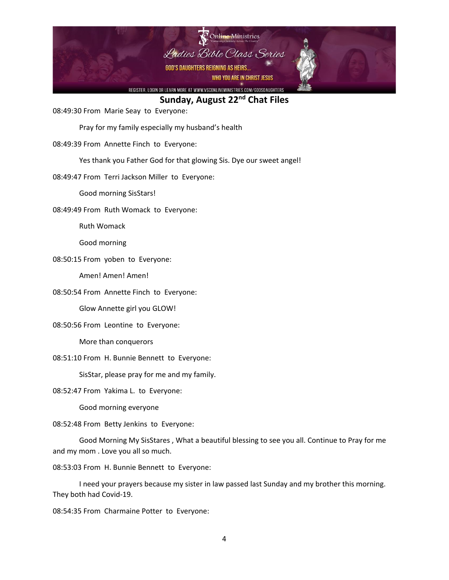

08:49:30 From Marie Seay to Everyone:

Pray for my family especially my husband's health

08:49:39 From Annette Finch to Everyone:

Yes thank you Father God for that glowing Sis. Dye our sweet angel!

08:49:47 From Terri Jackson Miller to Everyone:

Good morning SisStars!

08:49:49 From Ruth Womack to Everyone:

Ruth Womack

Good morning

08:50:15 From yoben to Everyone:

Amen! Amen! Amen!

08:50:54 From Annette Finch to Everyone:

Glow Annette girl you GLOW!

08:50:56 From Leontine to Everyone:

More than conquerors

08:51:10 From H. Bunnie Bennett to Everyone:

SisStar, please pray for me and my family.

08:52:47 From Yakima L. to Everyone:

Good morning everyone

08:52:48 From Betty Jenkins to Everyone:

Good Morning My SisStares , What a beautiful blessing to see you all. Continue to Pray for me and my mom . Love you all so much.

08:53:03 From H. Bunnie Bennett to Everyone:

I need your prayers because my sister in law passed last Sunday and my brother this morning. They both had Covid-19.

08:54:35 From Charmaine Potter to Everyone: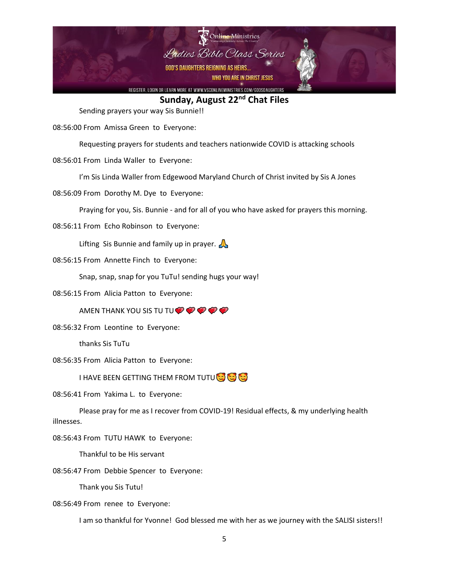

Sending prayers your way Sis Bunnie!!

08:56:00 From Amissa Green to Everyone:

Requesting prayers for students and teachers nationwide COVID is attacking schools

08:56:01 From Linda Waller to Everyone:

I'm Sis Linda Waller from Edgewood Maryland Church of Christ invited by Sis A Jones

08:56:09 From Dorothy M. Dye to Everyone:

Praying for you, Sis. Bunnie - and for all of you who have asked for prayers this morning.

08:56:11 From Echo Robinson to Everyone:

Lifting Sis Bunnie and family up in prayer.  $\mathbb{A}$ 

08:56:15 From Annette Finch to Everyone:

Snap, snap, snap for you TuTu! sending hugs your way!

08:56:15 From Alicia Patton to Everyone:

AMEN THANK YOU SIS TU TU $\bullet \bullet \bullet \bullet$ 

08:56:32 From Leontine to Everyone:

thanks Sis TuTu

08:56:35 From Alicia Patton to Everyone:

I HAVE BEEN GETTING THEM FROM TUTU

08:56:41 From Yakima L. to Everyone:

Please pray for me as I recover from COVID-19! Residual effects, & my underlying health illnesses.

08:56:43 From TUTU HAWK to Everyone:

Thankful to be His servant

08:56:47 From Debbie Spencer to Everyone:

Thank you Sis Tutu!

08:56:49 From renee to Everyone:

I am so thankful for Yvonne! God blessed me with her as we journey with the SALISI sisters!!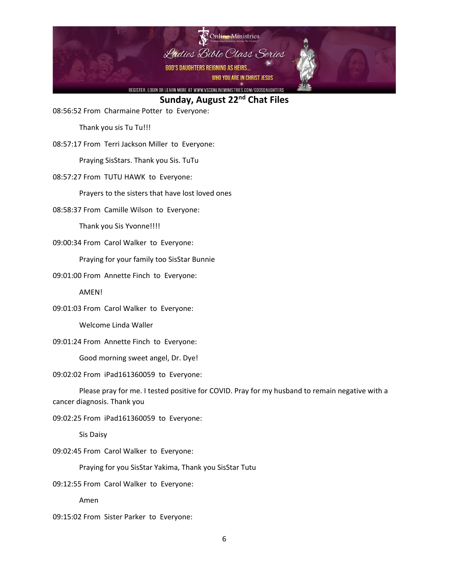

08:56:52 From Charmaine Potter to Everyone:

Thank you sis Tu Tu!!!

08:57:17 From Terri Jackson Miller to Everyone:

Praying SisStars. Thank you Sis. TuTu

08:57:27 From TUTU HAWK to Everyone:

Prayers to the sisters that have lost loved ones

08:58:37 From Camille Wilson to Everyone:

Thank you Sis Yvonne!!!!

09:00:34 From Carol Walker to Everyone:

Praying for your family too SisStar Bunnie

09:01:00 From Annette Finch to Everyone:

AMEN!

09:01:03 From Carol Walker to Everyone:

Welcome Linda Waller

09:01:24 From Annette Finch to Everyone:

Good morning sweet angel, Dr. Dye!

09:02:02 From iPad161360059 to Everyone:

Please pray for me. I tested positive for COVID. Pray for my husband to remain negative with a cancer diagnosis. Thank you

09:02:25 From iPad161360059 to Everyone:

Sis Daisy

09:02:45 From Carol Walker to Everyone:

Praying for you SisStar Yakima, Thank you SisStar Tutu

09:12:55 From Carol Walker to Everyone:

Amen

09:15:02 From Sister Parker to Everyone: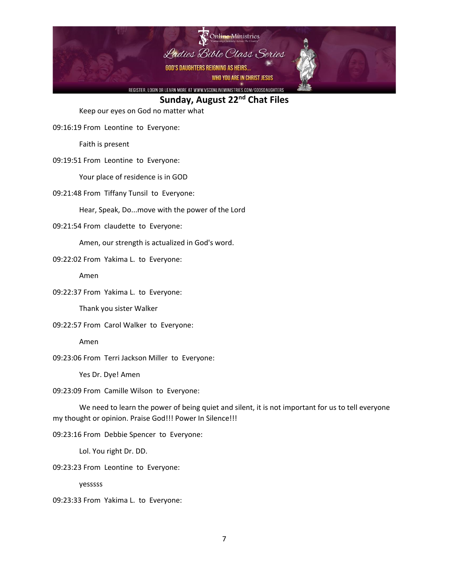

Keep our eyes on God no matter what

09:16:19 From Leontine to Everyone:

Faith is present

09:19:51 From Leontine to Everyone:

Your place of residence is in GOD

09:21:48 From Tiffany Tunsil to Everyone:

Hear, Speak, Do...move with the power of the Lord

09:21:54 From claudette to Everyone:

Amen, our strength is actualized in God's word.

09:22:02 From Yakima L. to Everyone:

Amen

09:22:37 From Yakima L. to Everyone:

Thank you sister Walker

09:22:57 From Carol Walker to Everyone:

Amen

09:23:06 From Terri Jackson Miller to Everyone:

Yes Dr. Dye! Amen

09:23:09 From Camille Wilson to Everyone:

We need to learn the power of being quiet and silent, it is not important for us to tell everyone my thought or opinion. Praise God!!! Power In Silence!!!

09:23:16 From Debbie Spencer to Everyone:

Lol. You right Dr. DD.

09:23:23 From Leontine to Everyone:

yesssss

09:23:33 From Yakima L. to Everyone: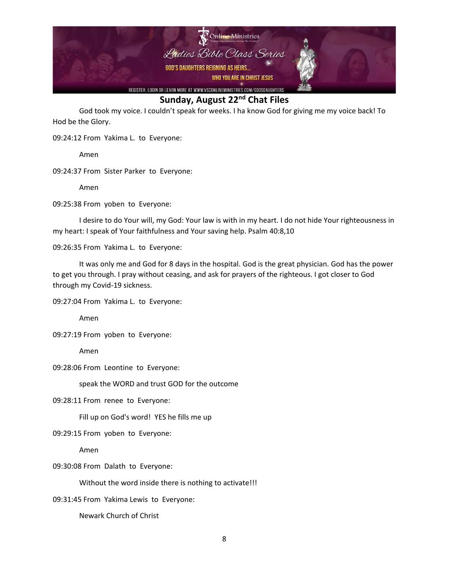

God took my voice. I couldn't speak for weeks. I ha know God for giving me my voice back! To Hod be the Glory.

09:24:12 From Yakima L. to Everyone:

Amen

09:24:37 From Sister Parker to Everyone:

Amen

09:25:38 From yoben to Everyone:

I desire to do Your will, my God: Your law is with in my heart. I do not hide Your righteousness in my heart: I speak of Your faithfulness and Your saving help. Psalm 40:8,10

09:26:35 From Yakima L. to Everyone:

It was only me and God for 8 days in the hospital. God is the great physician. God has the power to get you through. I pray without ceasing, and ask for prayers of the righteous. I got closer to God through my Covid-19 sickness.

09:27:04 From Yakima L. to Everyone:

Amen

09:27:19 From yoben to Everyone:

Amen

09:28:06 From Leontine to Everyone:

speak the WORD and trust GOD for the outcome

09:28:11 From renee to Everyone:

Fill up on God's word! YES he fills me up

09:29:15 From yoben to Everyone:

Amen

09:30:08 From Dalath to Everyone:

Without the word inside there is nothing to activate!!!

09:31:45 From Yakima Lewis to Everyone:

Newark Church of Christ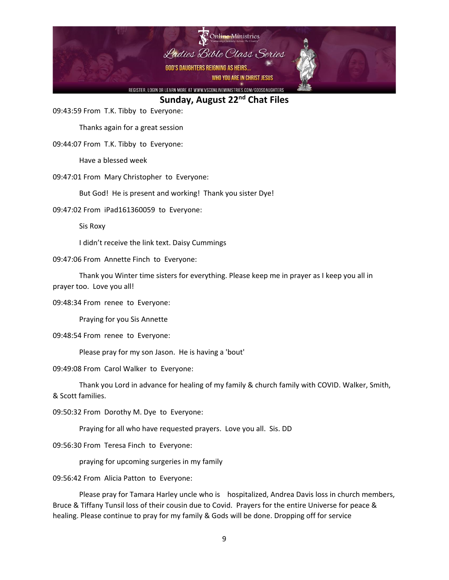

09:43:59 From T.K. Tibby to Everyone:

Thanks again for a great session

09:44:07 From T.K. Tibby to Everyone:

Have a blessed week

09:47:01 From Mary Christopher to Everyone:

But God! He is present and working! Thank you sister Dye!

09:47:02 From iPad161360059 to Everyone:

Sis Roxy

I didn't receive the link text. Daisy Cummings

09:47:06 From Annette Finch to Everyone:

Thank you Winter time sisters for everything. Please keep me in prayer as I keep you all in prayer too. Love you all!

09:48:34 From renee to Everyone:

Praying for you Sis Annette

09:48:54 From renee to Everyone:

Please pray for my son Jason. He is having a 'bout'

09:49:08 From Carol Walker to Everyone:

Thank you Lord in advance for healing of my family & church family with COVID. Walker, Smith, & Scott families.

09:50:32 From Dorothy M. Dye to Everyone:

Praying for all who have requested prayers. Love you all. Sis. DD

09:56:30 From Teresa Finch to Everyone:

praying for upcoming surgeries in my family

09:56:42 From Alicia Patton to Everyone:

Please pray for Tamara Harley uncle who is hospitalized, Andrea Davis loss in church members, Bruce & Tiffany Tunsil loss of their cousin due to Covid. Prayers for the entire Universe for peace & healing. Please continue to pray for my family & Gods will be done. Dropping off for service